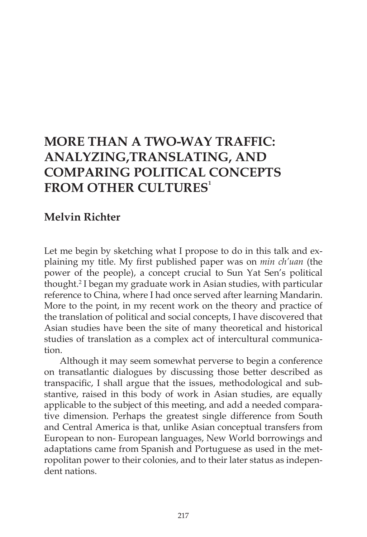# **MORE THAN A TWO-WAY TRAFFIC: ANALYZING,TRANSLATING, AND COMPARING POLITICAL CONCEPTS**  FROM OTHER CULTURES<sup>1</sup>

## **Melvin Richter**

Let me begin by sketching what I propose to do in this talk and explaining my title. My first published paper was on *min ch'uan* (the power of the people), a concept crucial to Sun Yat Sen's political thought.2 I began my graduate work in Asian studies, with particular reference to China, where I had once served after learning Mandarin. More to the point, in my recent work on the theory and practice of the translation of political and social concepts, I have discovered that Asian studies have been the site of many theoretical and historical studies of translation as a complex act of intercultural communication.

Although it may seem somewhat perverse to begin a conference on transatlantic dialogues by discussing those better described as transpacific, I shall argue that the issues, methodological and substantive, raised in this body of work in Asian studies, are equally applicable to the subject of this meeting, and add a needed comparative dimension. Perhaps the greatest single difference from South and Central America is that, unlike Asian conceptual transfers from European to non- European languages, New World borrowings and adaptations came from Spanish and Portuguese as used in the metropolitan power to their colonies, and to their later status as independent nations.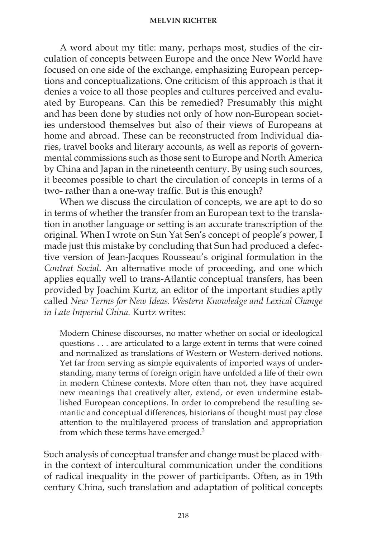#### **MELVIN RICHTER**

A word about my title: many, perhaps most, studies of the circulation of concepts between Europe and the once New World have focused on one side of the exchange, emphasizing European perceptions and conceptualizations. One criticism of this approach is that it denies a voice to all those peoples and cultures perceived and evaluated by Europeans. Can this be remedied? Presumably this might and has been done by studies not only of how non-European societies understood themselves but also of their views of Europeans at home and abroad. These can be reconstructed from Individual diaries, travel books and literary accounts, as well as reports of governmental commissions such as those sent to Europe and North America by China and Japan in the nineteenth century. By using such sources, it becomes possible to chart the circulation of concepts in terms of a two- rather than a one-way traffic. But is this enough?

When we discuss the circulation of concepts, we are apt to do so in terms of whether the transfer from an European text to the translation in another language or setting is an accurate transcription of the original. When I wrote on Sun Yat Sen's concept of people's power, I made just this mistake by concluding that Sun had produced a defective version of Jean-Jacques Rousseau's original formulation in the *Contrat Social*. An alternative mode of proceeding, and one which applies equally well to trans-Atlantic conceptual transfers, has been provided by Joachim Kurtz, an editor of the important studies aptly called *New Terms for New Ideas. Western Knowledge and Lexical Change in Late Imperial China.* Kurtz writes:

Modern Chinese discourses, no matter whether on social or ideological questions . . . are articulated to a large extent in terms that were coined and normalized as translations of Western or Western-derived notions. Yet far from serving as simple equivalents of imported ways of understanding, many terms of foreign origin have unfolded a life of their own in modern Chinese contexts. More often than not, they have acquired new meanings that creatively alter, extend, or even undermine established European conceptions. In order to comprehend the resulting semantic and conceptual differences, historians of thought must pay close attention to the multilayered process of translation and appropriation from which these terms have emerged.<sup>3</sup>

Such analysis of conceptual transfer and change must be placed within the context of intercultural communication under the conditions of radical inequality in the power of participants. Often, as in 19th century China, such translation and adaptation of political concepts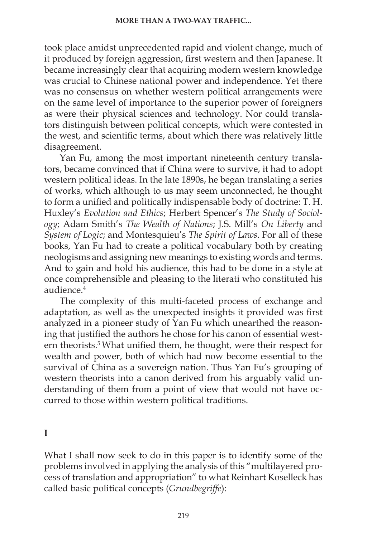#### **MORE THAN A TWO-WAY TRAFFIC...**

took place amidst unprecedented rapid and violent change, much of it produced by foreign aggression, first western and then Japanese. It became increasingly clear that acquiring modern western knowledge was crucial to Chinese national power and independence. Yet there was no consensus on whether western political arrangements were on the same level of importance to the superior power of foreigners as were their physical sciences and technology. Nor could translators distinguish between political concepts, which were contested in the west, and scientific terms, about which there was relatively little disagreement.

Yan Fu, among the most important nineteenth century translators, became convinced that if China were to survive, it had to adopt western political ideas. In the late 1890s, he began translating a series of works, which although to us may seem unconnected, he thought to form a unified and politically indispensable body of doctrine: T. H. Huxley's *Evolution and Ethics*; Herbert Spencer's *The Study of Sociology*; Adam Smith's *The Wealth of Nations*; J.S. Mill's *On Liberty* and *System of Logic*; and Montesquieu's *The Spirit of Laws*. For all of these books, Yan Fu had to create a political vocabulary both by creating neologisms and assigning new meanings to existing words and terms. And to gain and hold his audience, this had to be done in a style at once comprehensible and pleasing to the literati who constituted his audience.4

The complexity of this multi-faceted process of exchange and adaptation, as well as the unexpected insights it provided was first analyzed in a pioneer study of Yan Fu which unearthed the reasoning that justified the authors he chose for his canon of essential western theorists.<sup>5</sup> What unified them, he thought, were their respect for wealth and power, both of which had now become essential to the survival of China as a sovereign nation. Thus Yan Fu's grouping of western theorists into a canon derived from his arguably valid understanding of them from a point of view that would not have occurred to those within western political traditions.

**I**

What I shall now seek to do in this paper is to identify some of the problems involved in applying the analysis of this "multilayered process of translation and appropriation" to what Reinhart Koselleck has called basic political concepts (*Grundbegriffe*):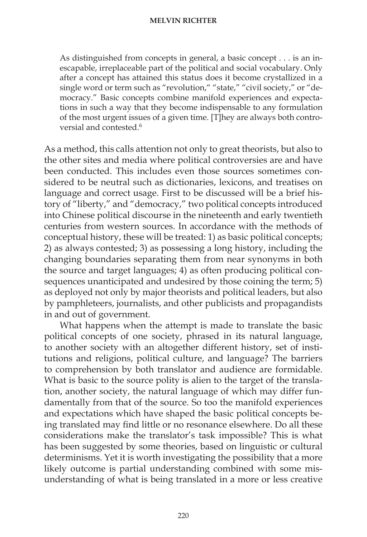As distinguished from concepts in general, a basic concept . . . is an inescapable, irreplaceable part of the political and social vocabulary. Only after a concept has attained this status does it become crystallized in a single word or term such as "revolution," "state," "civil society," or "democracy." Basic concepts combine manifold experiences and expectations in such a way that they become indispensable to any formulation of the most urgent issues of a given time. [T]hey are always both controversial and contested.6

As a method, this calls attention not only to great theorists, but also to the other sites and media where political controversies are and have been conducted. This includes even those sources sometimes considered to be neutral such as dictionaries, lexicons, and treatises on language and correct usage. First to be discussed will be a brief history of "liberty," and "democracy," two political concepts introduced into Chinese political discourse in the nineteenth and early twentieth centuries from western sources. In accordance with the methods of conceptual history, these will be treated: 1) as basic political concepts; 2) as always contested; 3) as possessing a long history, including the changing boundaries separating them from near synonyms in both the source and target languages; 4) as often producing political consequences unanticipated and undesired by those coining the term; 5) as deployed not only by major theorists and political leaders, but also by pamphleteers, journalists, and other publicists and propagandists in and out of government.

What happens when the attempt is made to translate the basic political concepts of one society, phrased in its natural language, to another society with an altogether different history, set of institutions and religions, political culture, and language? The barriers to comprehension by both translator and audience are formidable. What is basic to the source polity is alien to the target of the translation, another society, the natural language of which may differ fundamentally from that of the source. So too the manifold experiences and expectations which have shaped the basic political concepts being translated may find little or no resonance elsewhere. Do all these considerations make the translator's task impossible? This is what has been suggested by some theories, based on linguistic or cultural determinisms. Yet it is worth investigating the possibility that a more likely outcome is partial understanding combined with some misunderstanding of what is being translated in a more or less creative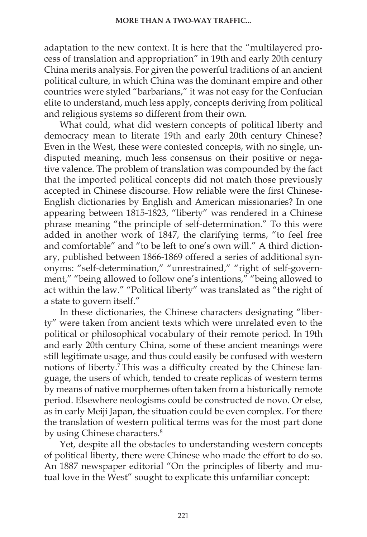adaptation to the new context. It is here that the "multilayered process of translation and appropriation" in 19th and early 20th century China merits analysis. For given the powerful traditions of an ancient political culture, in which China was the dominant empire and other countries were styled "barbarians," it was not easy for the Confucian elite to understand, much less apply, concepts deriving from political and religious systems so different from their own.

What could, what did western concepts of political liberty and democracy mean to literate 19th and early 20th century Chinese? Even in the West, these were contested concepts, with no single, undisputed meaning, much less consensus on their positive or negative valence. The problem of translation was compounded by the fact that the imported political concepts did not match those previously accepted in Chinese discourse. How reliable were the first Chinese-English dictionaries by English and American missionaries? In one appearing between 1815-1823, "liberty" was rendered in a Chinese phrase meaning "the principle of self-determination." To this were added in another work of 1847, the clarifying terms, "to feel free and comfortable" and "to be left to one's own will." A third dictionary, published between 1866-1869 offered a series of additional synonyms: "self-determination," "unrestrained," "right of self-government," "being allowed to follow one's intentions," "being allowed to act within the law." "Political liberty" was translated as "the right of a state to govern itself."

In these dictionaries, the Chinese characters designating "liberty" were taken from ancient texts which were unrelated even to the political or philosophical vocabulary of their remote period. In 19th and early 20th century China, some of these ancient meanings were still legitimate usage, and thus could easily be confused with western notions of liberty.7 This was a difficulty created by the Chinese language, the users of which, tended to create replicas of western terms by means of native morphemes often taken from a historically remote period. Elsewhere neologisms could be constructed de novo. Or else, as in early Meiji Japan, the situation could be even complex. For there the translation of western political terms was for the most part done by using Chinese characters.<sup>8</sup>

Yet, despite all the obstacles to understanding western concepts of political liberty, there were Chinese who made the effort to do so. An 1887 newspaper editorial "On the principles of liberty and mutual love in the West" sought to explicate this unfamiliar concept: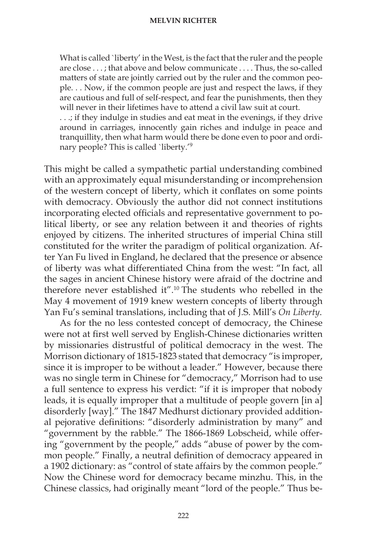What is called `liberty' in the West, is the fact that the ruler and the people are close . . . ; that above and below communicate . . . . Thus, the so-called matters of state are jointly carried out by the ruler and the common people. . . Now, if the common people are just and respect the laws, if they are cautious and full of self-respect, and fear the punishments, then they will never in their lifetimes have to attend a civil law suit at court.

. . .; if they indulge in studies and eat meat in the evenings, if they drive around in carriages, innocently gain riches and indulge in peace and tranquillity, then what harm would there be done even to poor and ordinary people? This is called `liberty.<sup>'9</sup>

This might be called a sympathetic partial understanding combined with an approximately equal misunderstanding or incomprehension of the western concept of liberty, which it conflates on some points with democracy. Obviously the author did not connect institutions incorporating elected officials and representative government to political liberty, or see any relation between it and theories of rights enjoyed by citizens. The inherited structures of imperial China still constituted for the writer the paradigm of political organization. After Yan Fu lived in England, he declared that the presence or absence of liberty was what differentiated China from the west: "In fact, all the sages in ancient Chinese history were afraid of the doctrine and therefore never established it".10 The students who rebelled in the May 4 movement of 1919 knew western concepts of liberty through Yan Fu's seminal translations, including that of J.S. Mill's *On Liberty*.

As for the no less contested concept of democracy, the Chinese were not at first well served by English-Chinese dictionaries written by missionaries distrustful of political democracy in the west. The Morrison dictionary of 1815-1823 stated that democracy "is improper, since it is improper to be without a leader." However, because there was no single term in Chinese for "democracy," Morrison had to use a full sentence to express his verdict: "if it is improper that nobody leads, it is equally improper that a multitude of people govern [in a] disorderly [way]." The 1847 Medhurst dictionary provided additional pejorative definitions: "disorderly administration by many" and "government by the rabble." The 1866-1869 Lobscheid, while offering "government by the people," adds "abuse of power by the common people." Finally, a neutral definition of democracy appeared in a 1902 dictionary: as "control of state affairs by the common people." Now the Chinese word for democracy became minzhu. This, in the Chinese classics, had originally meant "lord of the people." Thus be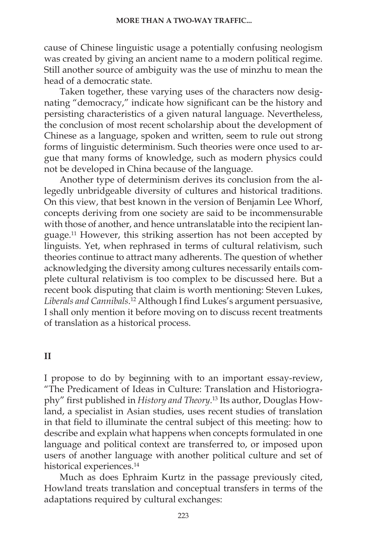cause of Chinese linguistic usage a potentially confusing neologism was created by giving an ancient name to a modern political regime. Still another source of ambiguity was the use of minzhu to mean the head of a democratic state.

Taken together, these varying uses of the characters now designating "democracy," indicate how significant can be the history and persisting characteristics of a given natural language. Nevertheless, the conclusion of most recent scholarship about the development of Chinese as a language, spoken and written, seem to rule out strong forms of linguistic determinism. Such theories were once used to argue that many forms of knowledge, such as modern physics could not be developed in China because of the language.

Another type of determinism derives its conclusion from the allegedly unbridgeable diversity of cultures and historical traditions. On this view, that best known in the version of Benjamin Lee Whorf, concepts deriving from one society are said to be incommensurable with those of another, and hence untranslatable into the recipient language.11 However, this striking assertion has not been accepted by linguists. Yet, when rephrased in terms of cultural relativism, such theories continue to attract many adherents. The question of whether acknowledging the diversity among cultures necessarily entails complete cultural relativism is too complex to be discussed here. But a recent book disputing that claim is worth mentioning: Steven Lukes, *Liberals and Cannibals*. 12 Although I find Lukes's argument persuasive, I shall only mention it before moving on to discuss recent treatments of translation as a historical process.

## **II**

I propose to do by beginning with to an important essay-review, "The Predicament of Ideas in Culture: Translation and Historiography" first published in *History and Theory*. 13 Its author, Douglas Howland, a specialist in Asian studies, uses recent studies of translation in that field to illuminate the central subject of this meeting: how to describe and explain what happens when concepts formulated in one language and political context are transferred to, or imposed upon users of another language with another political culture and set of historical experiences.<sup>14</sup>

Much as does Ephraim Kurtz in the passage previously cited, Howland treats translation and conceptual transfers in terms of the adaptations required by cultural exchanges: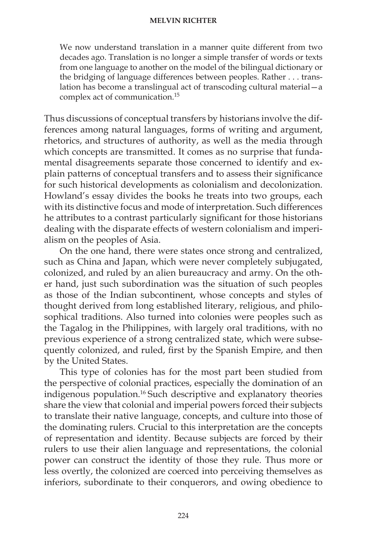We now understand translation in a manner quite different from two decades ago. Translation is no longer a simple transfer of words or texts from one language to another on the model of the bilingual dictionary or the bridging of language differences between peoples. Rather . . . translation has become a translingual act of transcoding cultural material—a complex act of communication.15

Thus discussions of conceptual transfers by historians involve the differences among natural languages, forms of writing and argument, rhetorics, and structures of authority, as well as the media through which concepts are transmitted. It comes as no surprise that fundamental disagreements separate those concerned to identify and explain patterns of conceptual transfers and to assess their significance for such historical developments as colonialism and decolonization. Howland's essay divides the books he treats into two groups, each with its distinctive focus and mode of interpretation. Such differences he attributes to a contrast particularly significant for those historians dealing with the disparate effects of western colonialism and imperialism on the peoples of Asia.

On the one hand, there were states once strong and centralized, such as China and Japan, which were never completely subjugated, colonized, and ruled by an alien bureaucracy and army. On the other hand, just such subordination was the situation of such peoples as those of the Indian subcontinent, whose concepts and styles of thought derived from long established literary, religious, and philosophical traditions. Also turned into colonies were peoples such as the Tagalog in the Philippines, with largely oral traditions, with no previous experience of a strong centralized state, which were subsequently colonized, and ruled, first by the Spanish Empire, and then by the United States.

This type of colonies has for the most part been studied from the perspective of colonial practices, especially the domination of an indigenous population.16 Such descriptive and explanatory theories share the view that colonial and imperial powers forced their subjects to translate their native language, concepts, and culture into those of the dominating rulers. Crucial to this interpretation are the concepts of representation and identity. Because subjects are forced by their rulers to use their alien language and representations, the colonial power can construct the identity of those they rule. Thus more or less overtly, the colonized are coerced into perceiving themselves as inferiors, subordinate to their conquerors, and owing obedience to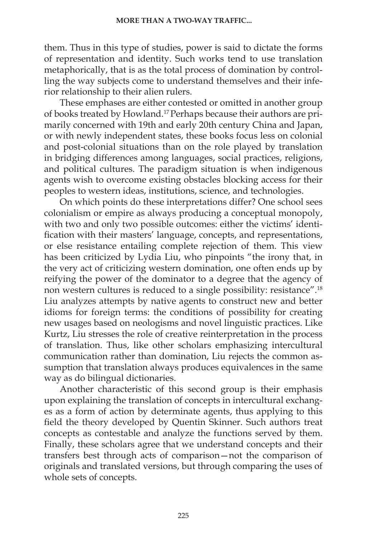#### **MORE THAN A TWO-WAY TRAFFIC...**

them. Thus in this type of studies, power is said to dictate the forms of representation and identity. Such works tend to use translation metaphorically, that is as the total process of domination by controlling the way subjects come to understand themselves and their inferior relationship to their alien rulers.

These emphases are either contested or omitted in another group of books treated by Howland.17 Perhaps because their authors are primarily concerned with 19th and early 20th century China and Japan, or with newly independent states, these books focus less on colonial and post-colonial situations than on the role played by translation in bridging differences among languages, social practices, religions, and political cultures. The paradigm situation is when indigenous agents wish to overcome existing obstacles blocking access for their peoples to western ideas, institutions, science, and technologies.

On which points do these interpretations differ? One school sees colonialism or empire as always producing a conceptual monopoly, with two and only two possible outcomes: either the victims' identification with their masters' language, concepts, and representations, or else resistance entailing complete rejection of them. This view has been criticized by Lydia Liu, who pinpoints "the irony that, in the very act of criticizing western domination, one often ends up by reifying the power of the dominator to a degree that the agency of non western cultures is reduced to a single possibility: resistance".18 Liu analyzes attempts by native agents to construct new and better idioms for foreign terms: the conditions of possibility for creating new usages based on neologisms and novel linguistic practices. Like Kurtz, Liu stresses the role of creative reinterpretation in the process of translation. Thus, like other scholars emphasizing intercultural communication rather than domination, Liu rejects the common assumption that translation always produces equivalences in the same way as do bilingual dictionaries.

Another characteristic of this second group is their emphasis upon explaining the translation of concepts in intercultural exchanges as a form of action by determinate agents, thus applying to this field the theory developed by Quentin Skinner. Such authors treat concepts as contestable and analyze the functions served by them. Finally, these scholars agree that we understand concepts and their transfers best through acts of comparison—not the comparison of originals and translated versions, but through comparing the uses of whole sets of concepts.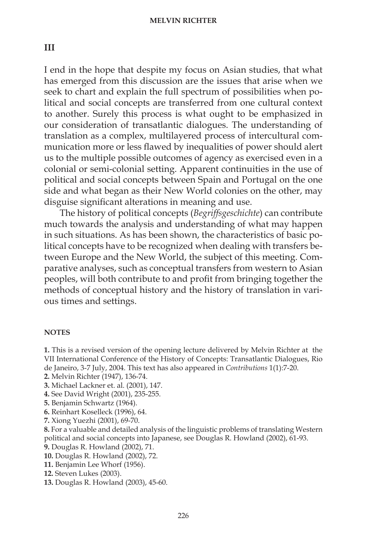#### **MELVIN RICHTER**

## **III**

I end in the hope that despite my focus on Asian studies, that what has emerged from this discussion are the issues that arise when we seek to chart and explain the full spectrum of possibilities when political and social concepts are transferred from one cultural context to another. Surely this process is what ought to be emphasized in our consideration of transatlantic dialogues. The understanding of translation as a complex, multilayered process of intercultural communication more or less flawed by inequalities of power should alert us to the multiple possible outcomes of agency as exercised even in a colonial or semi-colonial setting. Apparent continuities in the use of political and social concepts between Spain and Portugal on the one side and what began as their New World colonies on the other, may disguise significant alterations in meaning and use.

The history of political concepts (*Begriffsgeschichte*) can contribute much towards the analysis and understanding of what may happen in such situations. As has been shown, the characteristics of basic political concepts have to be recognized when dealing with transfers between Europe and the New World, the subject of this meeting. Comparative analyses, such as conceptual transfers from western to Asian peoples, will both contribute to and profit from bringing together the methods of conceptual history and the history of translation in various times and settings.

#### **NOTES**

**1.** This is a revised version of the opening lecture delivered by Melvin Richter at the VII International Conference of the History of Concepts: Transatlantic Dialogues, Rio de Janeiro, 3-7 July, 2004. This text has also appeared in *Contributions* 1(1):7-20.

- **2.** Melvin Richter (1947), 136-74.
- **3.** Michael Lackner et. al. (2001), 147.
- **4.** See David Wright (2001), 235-255.
- **5.** Benjamin Schwartz (1964).
- **6.** Reinhart Koselleck (1996), 64.
- **7.** Xiong Yuezhi (2001), 69-70.

**8.** For a valuable and detailed analysis of the linguistic problems of translating Western political and social concepts into Japanese, see Douglas R. Howland (2002), 61-93.

**9.** Douglas R. Howland (2002), 71.

- **10.** Douglas R. Howland (2002), 72.
- **11.** Benjamin Lee Whorf (1956).
- **12.** Steven Lukes (2003).
- **13.** Douglas R. Howland (2003), 45-60.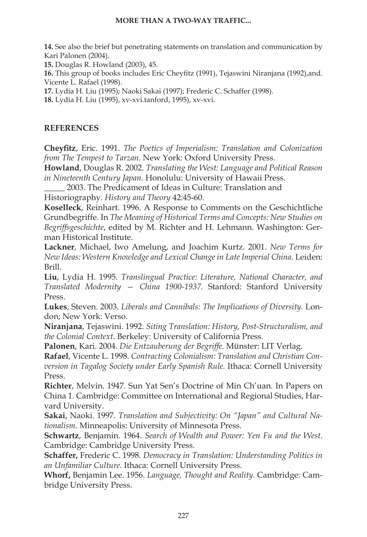#### **MORE THAN A TWO-WAY TRAFFIC...**

**14.** See also the brief but penetrating statements on translation and communication by Kari Palonen (2004).

**15.** Douglas R. Howland (2003), 45.

**16.** This group of books includes Eric Cheyfitz (1991), Tejaswini Niranjana (1992),and. Vicente L. Rafael (1998).

**17.** Lydia H. Liu (1995); Naoki Sakai (1997); Frederic C. Schaffer (1998).

**18.** Lydia H. Liu (1995), xv-xvi.tanford, 1995), xv-xvi.

## **REFERENCES**

**Cheyfitz**, Eric. 1991. *The Poetics of Imperialism: Translation and Colonization from The Tempest to Tarzan.* New York: Oxford University Press.

**Howland**, Douglas R. 2002. *Translating the West: Language and Political Reason in Nineteenth Century Japan.* Honolulu: University of Hawaii Press.

\_\_\_\_\_ 2003. The Predicament of Ideas in Culture: Translation and

Historiography. *History and Theory* 42:45-60.

**Koselleck**, Reinhart. 1996. A Response to Comments on the Geschichtliche Grundbegriffe. In *The Meaning of Historical Terms and Concepts: New Studies on Begriffsgeschichte*, edited by M. Richter and H. Lehmann. Washington: German Historical Institute.

**Lackner**, Michael, Iwo Amelung, and Joachim Kurtz. 2001. *New Terms for New Ideas: Western Knowledge and Lexical Change in Late Imperial China.* Leiden: Brill.

**Liu**, Lydia H. 1995. *Translingual Practice: Literature, National Character, and Translated Modernity — China 1900-1937.* Stanford: Stanford University Press.

**Lukes**, Steven. 2003. *Liberals and Cannibals: The Implications of Diversity.* London; New York: Verso.

**Niranjana**, Tejaswini. 1992. *Siting Translation: History, Post-Structuralism, and the Colonial Context.* Berkeley: University of California Press.

**Palonen**, Kari. 2004. *Die Entzauberung der Begriffe.* Münster: LIT Verlag.

**Rafael**, Vicente L. 1998. *Contracting Colonialism: Translation and Christian Conversion in Tagalog Society under Early Spanish Rule.* Ithaca: Cornell University Press.

**Richter**, Melvin. 1947. Sun Yat Sen's Doctrine of Min Ch'uan. In Papers on China 1. Cambridge: Committee on International and Regional Studies, Harvard University.

**Sakai**, Naoki. 1997. *Translation and Subjectivity: On "Japan" and Cultural Nationalism.* Minneapolis: University of Minnesota Press.

**Schwartz**, Benjamin. 1964. *Search of Wealth and Power: Yen Fu and the West*. Cambridge: Cambridge University Press.

**Schaffer,** Frederic C. 1998. *Democracy in Translation: Understanding Politics in an Unfamiliar Culture.* Ithaca: Cornell University Press.

**Whorf,** Benjamin Lee. 1956. *Language, Thought and Reality.* Cambridge: Cambridge University Press.